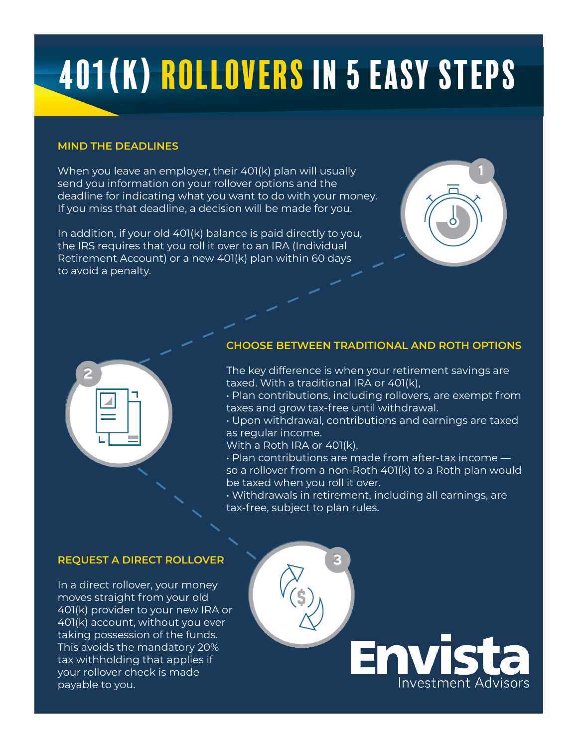# 401(K) Rollovers in 5 easy steps

### **MIND THE DEADLINES**

When you leave an employer, their 401(k) plan will usually send you information on your rollover options and the deadline for indicating what you want to do with your money. If you miss that deadline, a decision will be made for you.

In addition, if your old 401(k) balance is paid directly to you, the IRS requires that you roll it over to an IRA (Individual Retirement Account) or a new 401(k) plan within 60 days to avoid a penalty.





### **CHOOSE BETWEEN TRADITIONAL AND ROTH OPTIONS**

- The key difference is when your retirement savings are taxed. With a traditional IRA or 401(k),
- Plan contributions, including rollovers, are exempt from taxes and grow tax-free until withdrawal.
- Upon withdrawal, contributions and earnings are taxed as regular income.
- With a Roth IRA or 401(k),
- Plan contributions are made from after-tax income so a rollover from a non-Roth 401(k) to a Roth plan would be taxed when you roll it over.
- Withdrawals in retirement, including all earnings, are tax-free, subject to plan rules.

# **REQUEST A DIRECT ROLLOVER**

In a direct rollover, your money moves straight from your old 401(k) provider to your new IRA or 401(k) account, without you ever taking possession of the funds. This avoids the mandatory 20% tax withholding that applies if your rollover check is made payable to you.